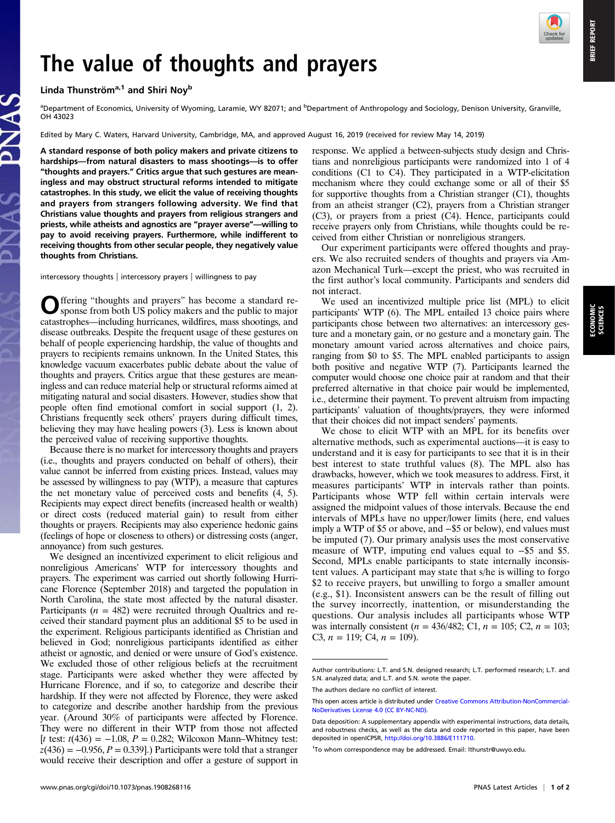

BRIEF REPORT

## The value of thoughts and prayers

## Linda Thunström<sup>a,1</sup> and Shiri Nov<sup>b</sup>

<sup>a</sup>Department of Economics, University of Wyoming, Laramie, WY 82071; and <sup>b</sup>Department of Anthropology and Sociology, Denison University, Granville, OH 43023

Edited by Mary C. Waters, Harvard University, Cambridge, MA, and approved August 16, 2019 (received for review May 14, 2019)

A standard response of both policy makers and private citizens to hardships—from natural disasters to mass shootings—is to offer "thoughts and prayers." Critics argue that such gestures are meaningless and may obstruct structural reforms intended to mitigate catastrophes. In this study, we elicit the value of receiving thoughts and prayers from strangers following adversity. We find that Christians value thoughts and prayers from religious strangers and priests, while atheists and agnostics are "prayer averse"—willing to pay to avoid receiving prayers. Furthermore, while indifferent to receiving thoughts from other secular people, they negatively value thoughts from Christians.

intercessory thoughts | intercessory prayers | willingness to pay

Offering "thoughts and prayers" has become a standard re-sponse from both US policy makers and the public to major catastrophes—including hurricanes, wildfires, mass shootings, and disease outbreaks. Despite the frequent usage of these gestures on behalf of people experiencing hardship, the value of thoughts and prayers to recipients remains unknown. In the United States, this knowledge vacuum exacerbates public debate about the value of thoughts and prayers. Critics argue that these gestures are meaningless and can reduce material help or structural reforms aimed at mitigating natural and social disasters. However, studies show that people often find emotional comfort in social support (1, 2). Christians frequently seek others' prayers during difficult times, believing they may have healing powers (3). Less is known about the perceived value of receiving supportive thoughts.

Because there is no market for intercessory thoughts and prayers (i.e., thoughts and prayers conducted on behalf of others), their value cannot be inferred from existing prices. Instead, values may be assessed by willingness to pay (WTP), a measure that captures the net monetary value of perceived costs and benefits (4, 5). Recipients may expect direct benefits (increased health or wealth) or direct costs (reduced material gain) to result from either thoughts or prayers. Recipients may also experience hedonic gains (feelings of hope or closeness to others) or distressing costs (anger, annoyance) from such gestures.

We designed an incentivized experiment to elicit religious and nonreligious Americans' WTP for intercessory thoughts and prayers. The experiment was carried out shortly following Hurricane Florence (September 2018) and targeted the population in North Carolina, the state most affected by the natural disaster. Participants ( $n = 482$ ) were recruited through Qualtrics and received their standard payment plus an additional \$5 to be used in the experiment. Religious participants identified as Christian and believed in God; nonreligious participants identified as either atheist or agnostic, and denied or were unsure of God's existence. We excluded those of other religious beliefs at the recruitment stage. Participants were asked whether they were affected by Hurricane Florence, and if so, to categorize and describe their hardship. If they were not affected by Florence, they were asked to categorize and describe another hardship from the previous year. (Around 30% of participants were affected by Florence. They were no different in their WTP from those not affected [t test:  $t(436) = -1.08$ ,  $P = 0.282$ ; Wilcoxon Mann–Whitney test:  $z(436) = -0.956$ ,  $P = 0.339$ .) Participants were told that a stranger would receive their description and offer a gesture of support in

response. We applied a between-subjects study design and Christians and nonreligious participants were randomized into 1 of 4 conditions (C1 to C4). They participated in a WTP-elicitation mechanism where they could exchange some or all of their \$5 for supportive thoughts from a Christian stranger (C1), thoughts from an atheist stranger (C2), prayers from a Christian stranger (C3), or prayers from a priest (C4). Hence, participants could receive prayers only from Christians, while thoughts could be received from either Christian or nonreligious strangers.

Our experiment participants were offered thoughts and prayers. We also recruited senders of thoughts and prayers via Amazon Mechanical Turk—except the priest, who was recruited in the first author's local community. Participants and senders did not interact.

We used an incentivized multiple price list (MPL) to elicit participants' WTP (6). The MPL entailed 13 choice pairs where participants chose between two alternatives: an intercessory gesture and a monetary gain, or no gesture and a monetary gain. The monetary amount varied across alternatives and choice pairs, ranging from \$0 to \$5. The MPL enabled participants to assign both positive and negative WTP (7). Participants learned the computer would choose one choice pair at random and that their preferred alternative in that choice pair would be implemented, i.e., determine their payment. To prevent altruism from impacting participants' valuation of thoughts/prayers, they were informed that their choices did not impact senders' payments.

We chose to elicit WTP with an MPL for its benefits over alternative methods, such as experimental auctions—it is easy to understand and it is easy for participants to see that it is in their best interest to state truthful values (8). The MPL also has drawbacks, however, which we took measures to address. First, it measures participants' WTP in intervals rather than points. Participants whose WTP fell within certain intervals were assigned the midpoint values of those intervals. Because the end intervals of MPLs have no upper/lower limits (here, end values imply a WTP of \$5 or above, and −\$5 or below), end values must be imputed (7). Our primary analysis uses the most conservative measure of WTP, imputing end values equal to −\$5 and \$5. Second, MPLs enable participants to state internally inconsistent values. A participant may state that s/he is willing to forgo \$2 to receive prayers, but unwilling to forgo a smaller amount (e.g., \$1). Inconsistent answers can be the result of filling out the survey incorrectly, inattention, or misunderstanding the questions. Our analysis includes all participants whose WTP was internally consistent ( $n = 436/482$ ; C1,  $n = 105$ ; C2,  $n = 103$ ; C3,  $n = 119$ ; C4,  $n = 109$ ).

Author contributions: L.T. and S.N. designed research; L.T. performed research; L.T. and S.N. analyzed data; and L.T. and S.N. wrote the paper.

The authors declare no conflict of interest.

This open access article is distributed under [Creative Commons Attribution-NonCommercial-](https://creativecommons.org/licenses/by-nc-nd/4.0/)[NoDerivatives License 4.0 \(CC BY-NC-ND\).](https://creativecommons.org/licenses/by-nc-nd/4.0/)

Data deposition: A supplementary appendix with experimental instructions, data details, and robustness checks, as well as the data and code reported in this paper, have been deposited in openICPSR, <http://doi.org/10.3886/E111710>.

<sup>&</sup>lt;sup>1</sup>To whom correspondence may be addressed. Email: Ithunstr@uwyo.edu.